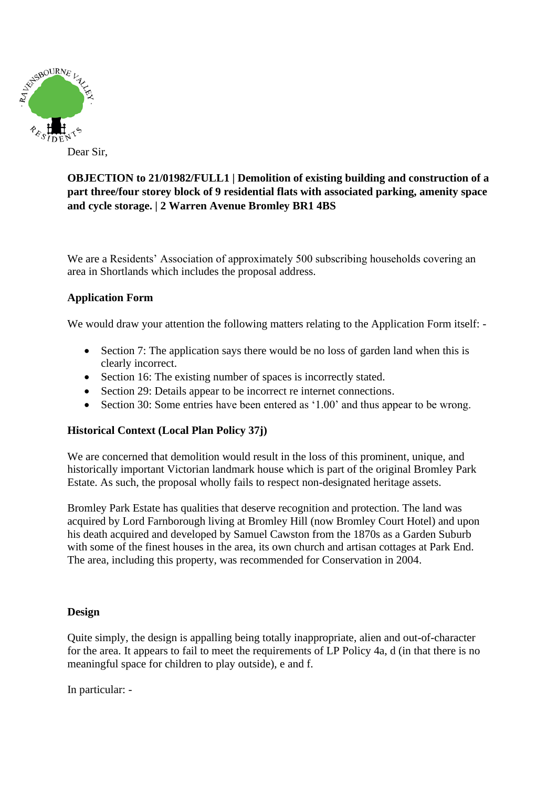

Dear Sir,

# **OBJECTION to 21/01982/FULL1 | Demolition of existing building and construction of a part three/four storey block of 9 residential flats with associated parking, amenity space and cycle storage. | 2 Warren Avenue Bromley BR1 4BS**

We are a Residents' Association of approximately 500 subscribing households covering an area in Shortlands which includes the proposal address.

### **Application Form**

We would draw your attention the following matters relating to the Application Form itself: -

- Section 7: The application says there would be no loss of garden land when this is clearly incorrect.
- Section 16: The existing number of spaces is incorrectly stated.
- Section 29: Details appear to be incorrect re internet connections.
- Section 30: Some entries have been entered as '1.00' and thus appear to be wrong.

#### **Historical Context (Local Plan Policy 37j)**

We are concerned that demolition would result in the loss of this prominent, unique, and historically important Victorian landmark house which is part of the original Bromley Park Estate. As such, the proposal wholly fails to respect non-designated heritage assets.

Bromley Park Estate has qualities that deserve recognition and protection. The land was acquired by Lord Farnborough living at Bromley Hill (now Bromley Court Hotel) and upon his death acquired and developed by Samuel Cawston from the 1870s as a Garden Suburb with some of the finest houses in the area, its own church and artisan cottages at Park End. The area, including this property, was recommended for Conservation in 2004.

#### **Design**

Quite simply, the design is appalling being totally inappropriate, alien and out-of-character for the area. It appears to fail to meet the requirements of LP Policy 4a, d (in that there is no meaningful space for children to play outside), e and f.

In particular: -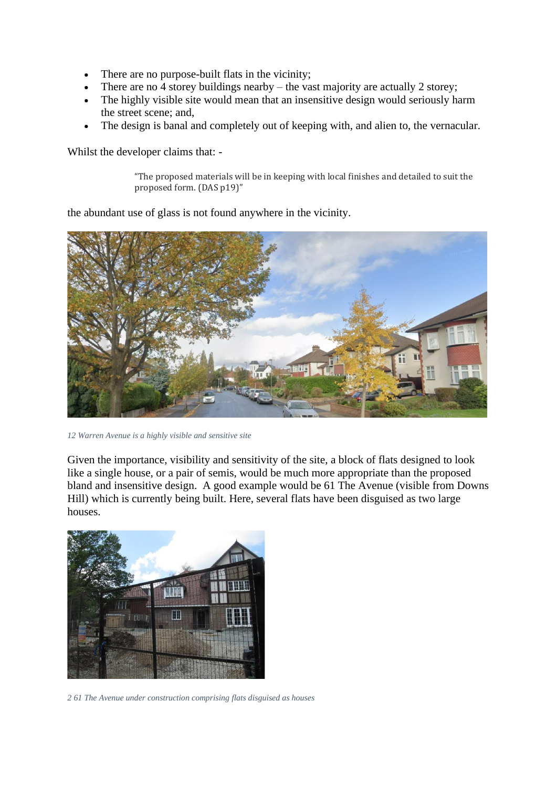- There are no purpose-built flats in the vicinity;
- There are no 4 storey buildings nearby the vast majority are actually 2 storey;
- The highly visible site would mean that an insensitive design would seriously harm the street scene; and,
- The design is banal and completely out of keeping with, and alien to, the vernacular.

Whilst the developer claims that: -

"The proposed materials will be in keeping with local finishes and detailed to suit the proposed form. (DAS p19)"

the abundant use of glass is not found anywhere in the vicinity.



*12 Warren Avenue is a highly visible and sensitive site*

Given the importance, visibility and sensitivity of the site, a block of flats designed to look like a single house, or a pair of semis, would be much more appropriate than the proposed bland and insensitive design. A good example would be 61 The Avenue (visible from Downs Hill) which is currently being built. Here, several flats have been disguised as two large houses.



*2 61 The Avenue under construction comprising flats disguised as houses*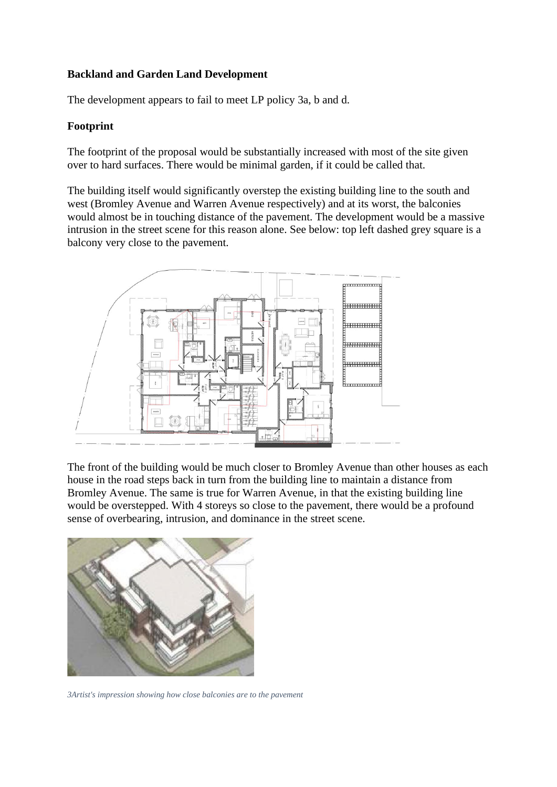## **Backland and Garden Land Development**

The development appears to fail to meet LP policy 3a, b and d.

## **Footprint**

The footprint of the proposal would be substantially increased with most of the site given over to hard surfaces. There would be minimal garden, if it could be called that.

The building itself would significantly overstep the existing building line to the south and west (Bromley Avenue and Warren Avenue respectively) and at its worst, the balconies would almost be in touching distance of the pavement. The development would be a massive intrusion in the street scene for this reason alone. See below: top left dashed grey square is a balcony very close to the pavement.



The front of the building would be much closer to Bromley Avenue than other houses as each house in the road steps back in turn from the building line to maintain a distance from Bromley Avenue. The same is true for Warren Avenue, in that the existing building line would be overstepped. With 4 storeys so close to the pavement, there would be a profound sense of overbearing, intrusion, and dominance in the street scene.



*3Artist's impression showing how close balconies are to the pavement*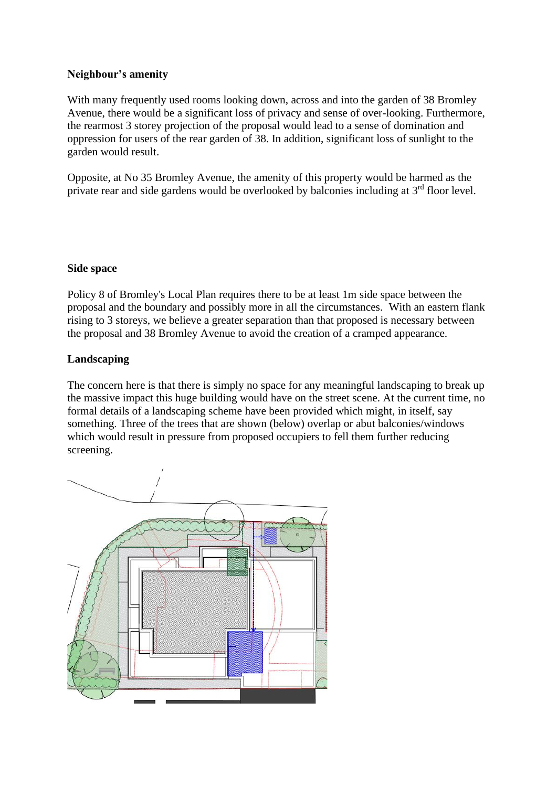## **Neighbour's amenity**

With many frequently used rooms looking down, across and into the garden of 38 Bromley Avenue, there would be a significant loss of privacy and sense of over-looking. Furthermore, the rearmost 3 storey projection of the proposal would lead to a sense of domination and oppression for users of the rear garden of 38. In addition, significant loss of sunlight to the garden would result.

Opposite, at No 35 Bromley Avenue, the amenity of this property would be harmed as the private rear and side gardens would be overlooked by balconies including at  $3<sup>rd</sup>$  floor level.

#### **Side space**

Policy 8 of Bromley's Local Plan requires there to be at least 1m side space between the proposal and the boundary and possibly more in all the circumstances. With an eastern flank rising to 3 storeys, we believe a greater separation than that proposed is necessary between the proposal and 38 Bromley Avenue to avoid the creation of a cramped appearance.

#### **Landscaping**

The concern here is that there is simply no space for any meaningful landscaping to break up the massive impact this huge building would have on the street scene. At the current time, no formal details of a landscaping scheme have been provided which might, in itself, say something. Three of the trees that are shown (below) overlap or abut balconies/windows which would result in pressure from proposed occupiers to fell them further reducing screening.

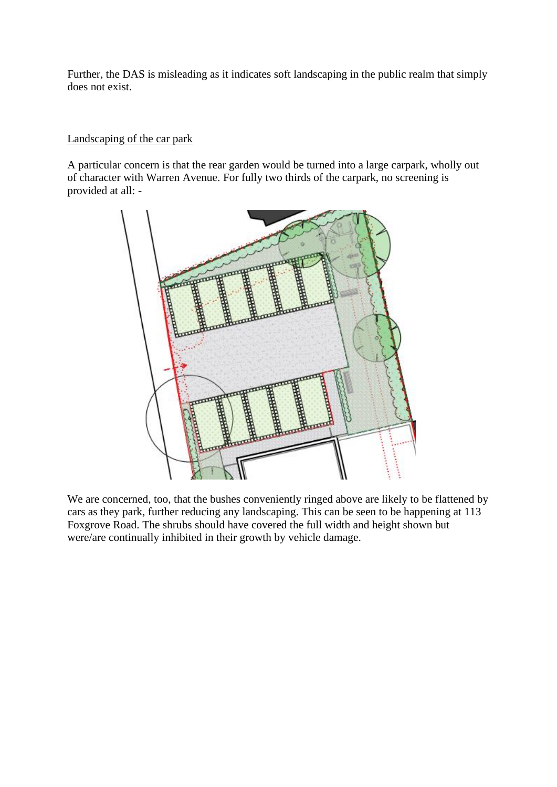Further, the DAS is misleading as it indicates soft landscaping in the public realm that simply does not exist.

## Landscaping of the car park

A particular concern is that the rear garden would be turned into a large carpark, wholly out of character with Warren Avenue. For fully two thirds of the carpark, no screening is provided at all: -



We are concerned, too, that the bushes conveniently ringed above are likely to be flattened by cars as they park, further reducing any landscaping. This can be seen to be happening at 113 Foxgrove Road. The shrubs should have covered the full width and height shown but were/are continually inhibited in their growth by vehicle damage.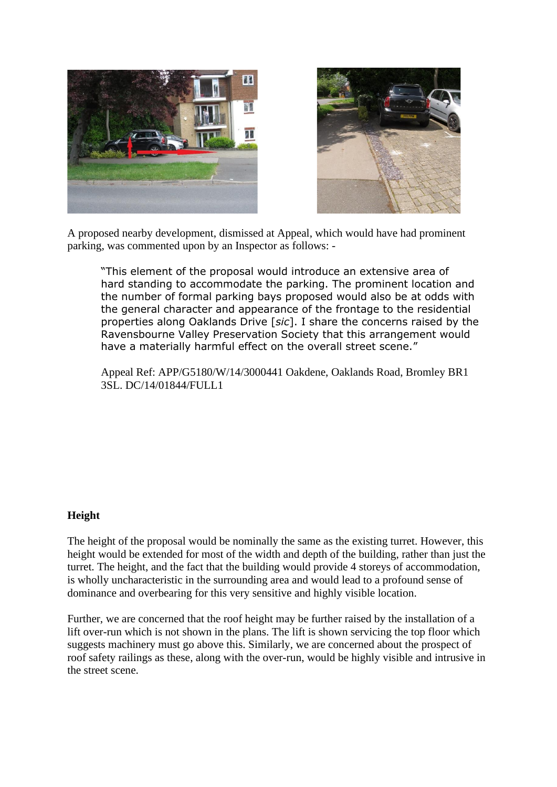



A proposed nearby development, dismissed at Appeal, which would have had prominent parking, was commented upon by an Inspector as follows: -

"This element of the proposal would introduce an extensive area of hard standing to accommodate the parking. The prominent location and the number of formal parking bays proposed would also be at odds with the general character and appearance of the frontage to the residential properties along Oaklands Drive [*sic*]. I share the concerns raised by the Ravensbourne Valley Preservation Society that this arrangement would have a materially harmful effect on the overall street scene."

Appeal Ref: APP/G5180/W/14/3000441 Oakdene, Oaklands Road, Bromley BR1 3SL. DC/14/01844/FULL1

#### **Height**

The height of the proposal would be nominally the same as the existing turret. However, this height would be extended for most of the width and depth of the building, rather than just the turret. The height, and the fact that the building would provide 4 storeys of accommodation, is wholly uncharacteristic in the surrounding area and would lead to a profound sense of dominance and overbearing for this very sensitive and highly visible location.

Further, we are concerned that the roof height may be further raised by the installation of a lift over-run which is not shown in the plans. The lift is shown servicing the top floor which suggests machinery must go above this. Similarly, we are concerned about the prospect of roof safety railings as these, along with the over-run, would be highly visible and intrusive in the street scene.